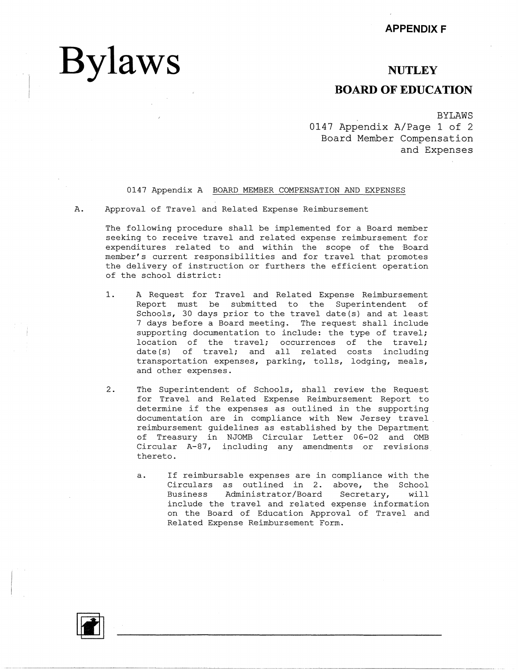## **NUTLEY**

## **BOARD OF EDUCATION**

BYLAWS

0147 Appendix A/Page 1 of 2 Board Member Compensation and Expenses

### 0147 Appendix A BOARD MEMBER COMPENSATION AND EXPENSES

A. Approval of Travel and Related Expense Reimbursement

**Bylaws** 

The following procedure shall be implemented for a Board member seeking to receive travel and related expense reimbursement for expenditures related to and within the scope of the Board member's current responsibilities and for travel that promotes the delivery of instruction or furthers the efficient operation of the school district:

- 1. A Request for Travel and Related Expense Reimbursement Report must be submitted to the Superintendent of Schools, 30 days prior to the travel date(s) and at least 7 days before a Board meeting. The request shall include supporting documentation to include: the type of travel; location of the travel; occurrences of the travel; date(s) of travel; and all related costs including transportation expenses, parking, tolls, lodging, meals, and other expenses.
- 2. The Superintendent of Schools, shall review the Request for Travel and Related Expense Reimbursement Report to determine if the expenses as outlined in the supporting documentation are in compliance with New Jersey travel reimbursement guidelines as established by the Department of Treasury in NJOMB Circular Letter 06-02 and 0MB Circular A-87, including any amendments or revisions thereto.
	- a. If reimbursable expenses are in compliance with the Circulars as outlined in 2. above, the School Business Administrator/Board Secretary, will include the travel and related expense information on the Board of Education Approval of Travel and Related Expense Reimbursement Form.